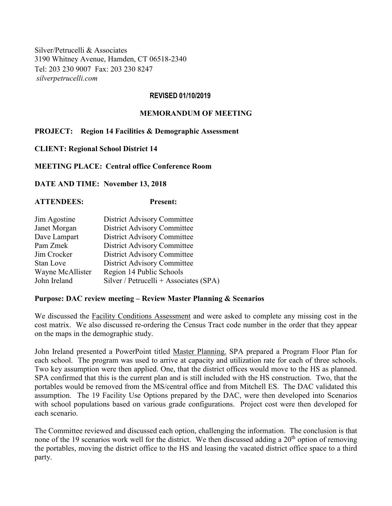Silver/Petrucelli & Associates 3190 Whitney Avenue, Hamden, CT 06518-2340 Tel: 203 230 9007 Fax: 203 230 8247 *silverpetrucelli.com*

### **REVISED 01/10/2019**

## **MEMORANDUM OF MEETING**

### **PROJECT: Region 14 Facilities & Demographic Assessment**

**CLIENT: Regional School District 14**

**MEETING PLACE: Central office Conference Room**

**DATE AND TIME: November 13, 2018**

# **ATTENDEES: Present:**

| Jim Agostine     | <b>District Advisory Committee</b>     |
|------------------|----------------------------------------|
| Janet Morgan     | <b>District Advisory Committee</b>     |
| Dave Lampart     | <b>District Advisory Committee</b>     |
| Pam Zmek         | <b>District Advisory Committee</b>     |
| Jim Crocker      | <b>District Advisory Committee</b>     |
| Stan Love        | <b>District Advisory Committee</b>     |
| Wayne McAllister | Region 14 Public Schools               |
| John Ireland     | Silver / Petrucelli + Associates (SPA) |

### **Purpose: DAC review meeting – Review Master Planning & Scenarios**

We discussed the Facility Conditions Assessment and were asked to complete any missing cost in the cost matrix. We also discussed re-ordering the Census Tract code number in the order that they appear on the maps in the demographic study.

John Ireland presented a PowerPoint titled Master Planning. SPA prepared a Program Floor Plan for each school. The program was used to arrive at capacity and utilization rate for each of three schools. Two key assumption were then applied. One, that the district offices would move to the HS as planned. SPA confirmed that this is the current plan and is still included with the HS construction. Two, that the portables would be removed from the MS/central office and from Mitchell ES. The DAC validated this assumption. The 19 Facility Use Options prepared by the DAC, were then developed into Scenarios with school populations based on various grade configurations. Project cost were then developed for each scenario.

The Committee reviewed and discussed each option, challenging the information. The conclusion is that none of the 19 scenarios work well for the district. We then discussed adding a  $20<sup>th</sup>$  option of removing the portables, moving the district office to the HS and leasing the vacated district office space to a third party.